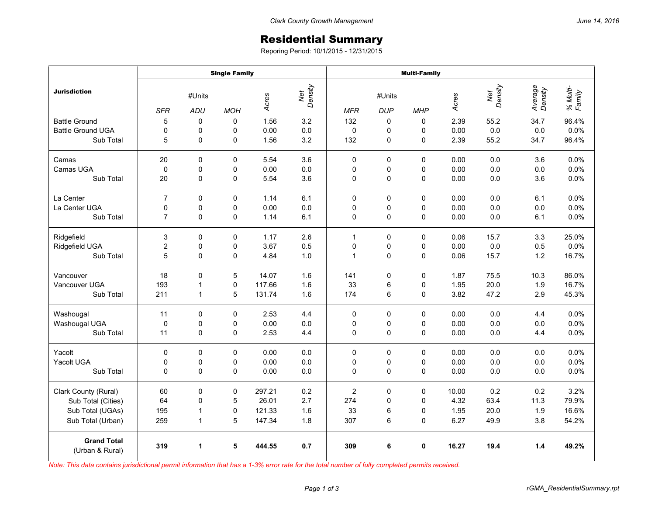## Residential Summary

Reporing Period: 10/1/2015 - 12/31/2015

|                                       | <b>Single Family</b> |             |                |                         |     | <b>Multi-Family</b> |             |             |       |                |                    |                    |
|---------------------------------------|----------------------|-------------|----------------|-------------------------|-----|---------------------|-------------|-------------|-------|----------------|--------------------|--------------------|
| <b>Jurisdiction</b>                   | #Units               |             |                | Net<br>Density<br>Acres |     | #Units              |             |             | Acres | Net<br>Density | Average<br>Density | % Multi-<br>Family |
|                                       | <b>SFR</b>           | <b>ADU</b>  | <b>MOH</b>     |                         |     | <b>MFR</b>          | <b>DUP</b>  | <b>MHP</b>  |       |                |                    |                    |
| <b>Battle Ground</b>                  | 5                    | $\Omega$    | $\mathbf 0$    | 1.56                    | 3.2 | 132                 | 0           | $\Omega$    | 2.39  | 55.2           | 34.7               | 96.4%              |
| <b>Battle Ground UGA</b>              | 0                    | 0           | 0              | 0.00                    | 0.0 | $\mathbf 0$         | 0           | 0           | 0.00  | 0.0            | 0.0                | 0.0%               |
| Sub Total                             | 5                    | 0           | 0              | 1.56                    | 3.2 | 132                 | $\pmb{0}$   | 0           | 2.39  | 55.2           | 34.7               | 96.4%              |
| Camas                                 | 20                   | 0           | 0              | 5.54                    | 3.6 | 0                   | $\mathbf 0$ | 0           | 0.00  | 0.0            | 3.6                | 0.0%               |
| Camas UGA                             | $\mathbf 0$          | 0           | 0              | 0.00                    | 0.0 | 0                   | 0           | $\Omega$    | 0.00  | 0.0            | 0.0                | 0.0%               |
| Sub Total                             | 20                   | 0           | 0              | 5.54                    | 3.6 | 0                   | $\mathbf 0$ | 0           | 0.00  | 0.0            | 3.6                | 0.0%               |
| La Center                             | $\overline{7}$       | 0           | $\mathbf 0$    | 1.14                    | 6.1 | $\Omega$            | $\mathbf 0$ | 0           | 0.00  | 0.0            | 6.1                | 0.0%               |
| La Center UGA                         | 0                    | 0           | 0              | 0.00                    | 0.0 | 0                   | 0           | 0           | 0.00  | 0.0            | 0.0                | 0.0%               |
| Sub Total                             | $\overline{7}$       | 0           | $\overline{0}$ | 1.14                    | 6.1 | $\Omega$            | $\mathbf 0$ | $\Omega$    | 0.00  | 0.0            | 6.1                | 0.0%               |
| Ridgefield                            | 3                    | 0           | 0              | 1.17                    | 2.6 | $\mathbf{1}$        | $\mathbf 0$ | 0           | 0.06  | 15.7           | 3.3                | 25.0%              |
| Ridgefield UGA                        | $\overline{c}$       | $\mathbf 0$ | 0              | 3.67                    | 0.5 | 0                   | 0           | $\mathbf 0$ | 0.00  | 0.0            | 0.5                | 0.0%               |
| Sub Total                             | 5                    | 0           | 0              | 4.84                    | 1.0 | $\mathbf{1}$        | $\pmb{0}$   | 0           | 0.06  | 15.7           | 1.2                | 16.7%              |
| Vancouver                             | 18                   | $\Omega$    | 5              | 14.07                   | 1.6 | 141                 | $\mathbf 0$ | $\Omega$    | 1.87  | 75.5           | 10.3               | 86.0%              |
| Vancouver UGA                         | 193                  | 1           | 0              | 117.66                  | 1.6 | 33                  | 6           | 0           | 1.95  | 20.0           | 1.9                | 16.7%              |
| Sub Total                             | 211                  | 1           | 5              | 131.74                  | 1.6 | 174                 | 6           | 0           | 3.82  | 47.2           | 2.9                | 45.3%              |
| Washougal                             | 11                   | 0           | 0              | 2.53                    | 4.4 | $\mathbf 0$         | 0           | 0           | 0.00  | 0.0            | 4.4                | 0.0%               |
| Washougal UGA                         | $\pmb{0}$            | 0           | 0              | 0.00                    | 0.0 | 0                   | 0           | 0           | 0.00  | 0.0            | 0.0                | 0.0%               |
| Sub Total                             | 11                   | 0           | 0              | 2.53                    | 4.4 | 0                   | $\mathbf 0$ | 0           | 0.00  | 0.0            | 4.4                | 0.0%               |
| Yacolt                                | 0                    | 0           | $\Omega$       | 0.00                    | 0.0 | 0                   | $\mathbf 0$ | $\Omega$    | 0.00  | 0.0            | 0.0                | 0.0%               |
| Yacolt UGA                            | 0                    | 0           | 0              | 0.00                    | 0.0 | 0                   | 0           | 0           | 0.00  | 0.0            | 0.0                | 0.0%               |
| Sub Total                             | 0                    | $\mathbf 0$ | 0              | 0.00                    | 0.0 | 0                   | $\mathbf 0$ | 0           | 0.00  | 0.0            | 0.0                | 0.0%               |
| Clark County (Rural)                  | 60                   | 0           | 0              | 297.21                  | 0.2 | $\overline{c}$      | $\pmb{0}$   | 0           | 10.00 | 0.2            | 0.2                | 3.2%               |
| Sub Total (Cities)                    | 64                   | 0           | 5              | 26.01                   | 2.7 | 274                 | 0           | $\mathbf 0$ | 4.32  | 63.4           | 11.3               | 79.9%              |
| Sub Total (UGAs)                      | 195                  | 1           | 0              | 121.33                  | 1.6 | 33                  | 6           | 0           | 1.95  | 20.0           | 1.9                | 16.6%              |
| Sub Total (Urban)                     | 259                  | 1           | 5              | 147.34                  | 1.8 | 307                 | 6           | 0           | 6.27  | 49.9           | 3.8                | 54.2%              |
| <b>Grand Total</b><br>(Urban & Rural) | 319                  | 1           | 5              | 444.55                  | 0.7 | 309                 | 6           | $\mathbf 0$ | 16.27 | 19.4           | 1.4                | 49.2%              |

*Note: This data contains jurisdictional permit information that has a 1-3% error rate for the total number of fully completed permits received.*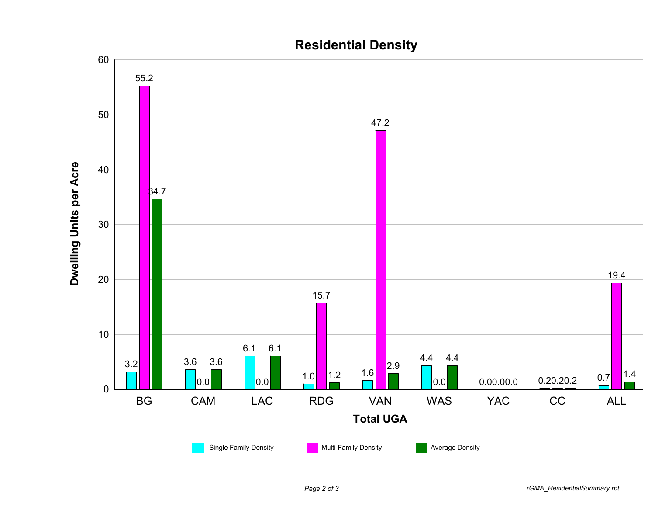

## **Residential Density**